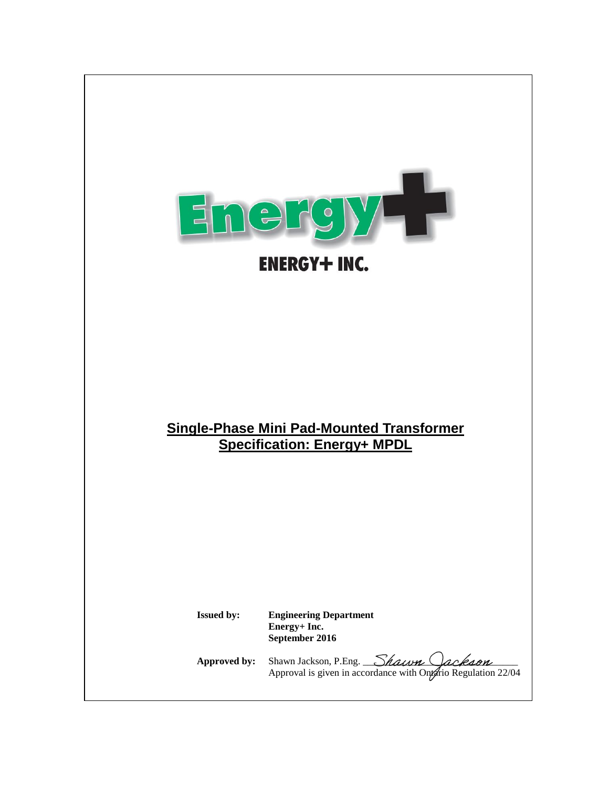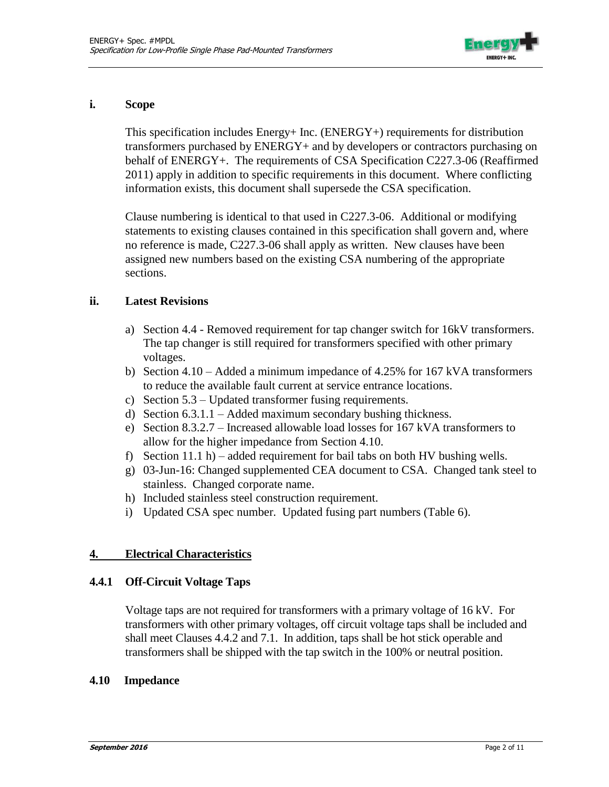

### **i. Scope**

This specification includes Energy+ Inc. (ENERGY+) requirements for distribution transformers purchased by ENERGY+ and by developers or contractors purchasing on behalf of ENERGY+. The requirements of CSA Specification C227.3-06 (Reaffirmed 2011) apply in addition to specific requirements in this document. Where conflicting information exists, this document shall supersede the CSA specification.

Clause numbering is identical to that used in C227.3-06. Additional or modifying statements to existing clauses contained in this specification shall govern and, where no reference is made, C227.3-06 shall apply as written. New clauses have been assigned new numbers based on the existing CSA numbering of the appropriate sections.

### **ii. Latest Revisions**

- a) Section 4.4 Removed requirement for tap changer switch for 16kV transformers. The tap changer is still required for transformers specified with other primary voltages.
- b) Section 4.10 Added a minimum impedance of 4.25% for 167 kVA transformers to reduce the available fault current at service entrance locations.
- c) Section 5.3 Updated transformer fusing requirements.
- d) Section 6.3.1.1 Added maximum secondary bushing thickness.
- e) Section 8.3.2.7 Increased allowable load losses for 167 kVA transformers to allow for the higher impedance from Section 4.10.
- f) Section 11.1 h) added requirement for bail tabs on both HV bushing wells.
- g) 03-Jun-16: Changed supplemented CEA document to CSA. Changed tank steel to stainless. Changed corporate name.
- h) Included stainless steel construction requirement.
- i) Updated CSA spec number. Updated fusing part numbers (Table 6).

# **4. Electrical Characteristics**

### **4.4.1 Off-Circuit Voltage Taps**

Voltage taps are not required for transformers with a primary voltage of 16 kV. For transformers with other primary voltages, off circuit voltage taps shall be included and shall meet Clauses 4.4.2 and 7.1. In addition, taps shall be hot stick operable and transformers shall be shipped with the tap switch in the 100% or neutral position.

### **4.10 Impedance**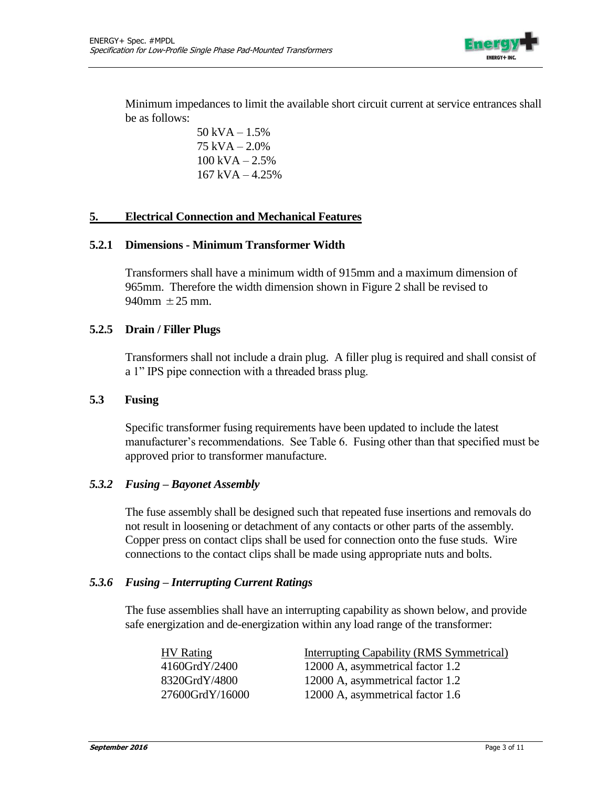

Minimum impedances to limit the available short circuit current at service entrances shall be as follows:

> 50 kVA – 1.5% 75 kVA – 2.0%  $100$  kVA  $- 2.5%$ 167 kVA – 4.25%

### **5. Electrical Connection and Mechanical Features**

#### **5.2.1 Dimensions - Minimum Transformer Width**

Transformers shall have a minimum width of 915mm and a maximum dimension of 965mm. Therefore the width dimension shown in Figure 2 shall be revised to 940mm  $\pm 25$  mm.

### **5.2.5 Drain / Filler Plugs**

Transformers shall not include a drain plug. A filler plug is required and shall consist of a 1" IPS pipe connection with a threaded brass plug.

### **5.3 Fusing**

Specific transformer fusing requirements have been updated to include the latest manufacturer's recommendations. See Table 6. Fusing other than that specified must be approved prior to transformer manufacture.

### *5.3.2 Fusing – Bayonet Assembly*

The fuse assembly shall be designed such that repeated fuse insertions and removals do not result in loosening or detachment of any contacts or other parts of the assembly. Copper press on contact clips shall be used for connection onto the fuse studs. Wire connections to the contact clips shall be made using appropriate nuts and bolts.

### *5.3.6 Fusing – Interrupting Current Ratings*

The fuse assemblies shall have an interrupting capability as shown below, and provide safe energization and de-energization within any load range of the transformer:

| <b>HV</b> Rating | <b>Interrupting Capability (RMS Symmetrical)</b> |
|------------------|--------------------------------------------------|
| 4160GrdY/2400    | 12000 A, asymmetrical factor 1.2                 |
| 8320GrdY/4800    | 12000 A, asymmetrical factor 1.2                 |
| 27600GrdY/16000  | 12000 A, asymmetrical factor 1.6                 |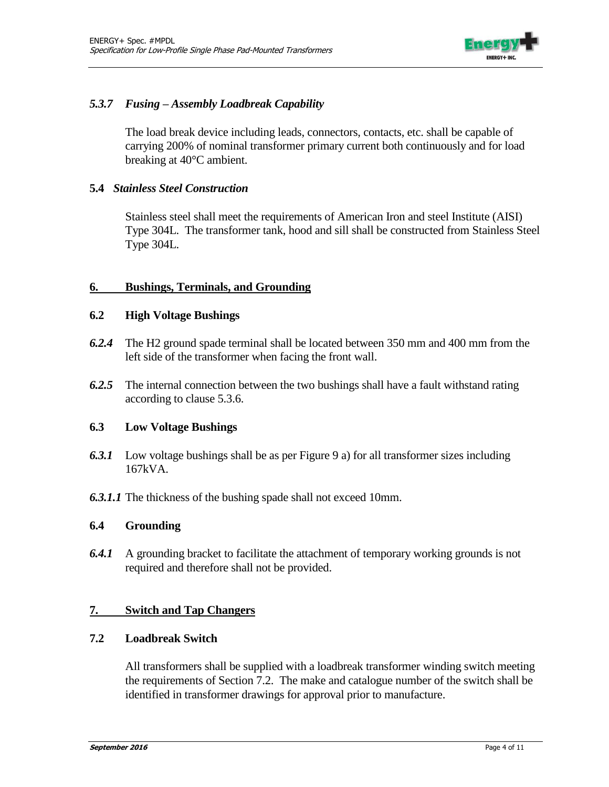

# *5.3.7 Fusing – Assembly Loadbreak Capability*

The load break device including leads, connectors, contacts, etc. shall be capable of carrying 200% of nominal transformer primary current both continuously and for load breaking at 40°C ambient.

# **5.4** *Stainless Steel Construction*

Stainless steel shall meet the requirements of American Iron and steel Institute (AISI) Type 304L. The transformer tank, hood and sill shall be constructed from Stainless Steel Type 304L.

### **6. Bushings, Terminals, and Grounding**

### **6.2 High Voltage Bushings**

- *6.2.4* The H2 ground spade terminal shall be located between 350 mm and 400 mm from the left side of the transformer when facing the front wall.
- *6.2.5* The internal connection between the two bushings shall have a fault withstand rating according to clause 5.3.6.

### **6.3 Low Voltage Bushings**

- *6.3.1* Low voltage bushings shall be as per Figure 9 a) for all transformer sizes including 167kVA.
- *6.3.1.1* The thickness of the bushing spade shall not exceed 10mm.

### **6.4 Grounding**

*6.4.1* A grounding bracket to facilitate the attachment of temporary working grounds is not required and therefore shall not be provided.

# **7. Switch and Tap Changers**

### **7.2 Loadbreak Switch**

All transformers shall be supplied with a loadbreak transformer winding switch meeting the requirements of Section 7.2. The make and catalogue number of the switch shall be identified in transformer drawings for approval prior to manufacture.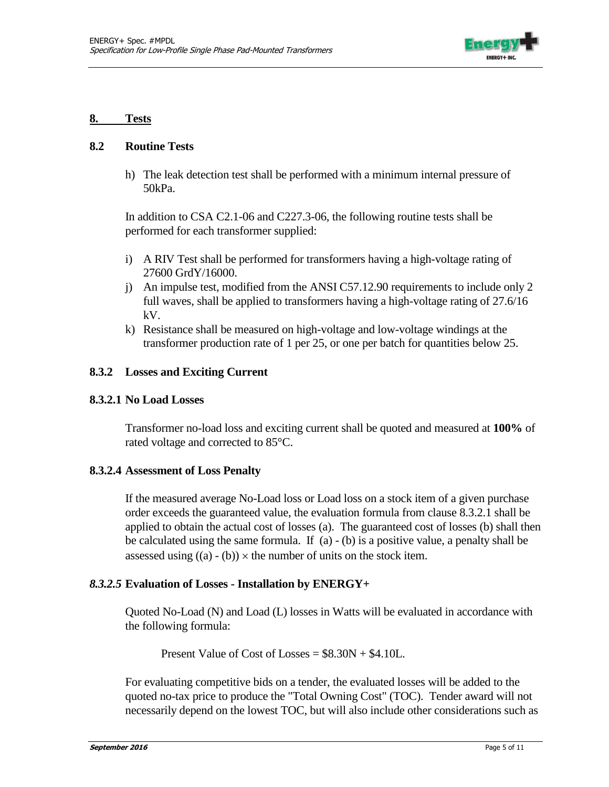

#### **8. Tests**

### **8.2 Routine Tests**

h) The leak detection test shall be performed with a minimum internal pressure of 50kPa.

In addition to CSA C2.1-06 and C227.3-06, the following routine tests shall be performed for each transformer supplied:

- i) A RIV Test shall be performed for transformers having a high-voltage rating of 27600 GrdY/16000.
- j) An impulse test, modified from the ANSI C57.12.90 requirements to include only 2 full waves, shall be applied to transformers having a high-voltage rating of 27.6/16 kV.
- k) Resistance shall be measured on high-voltage and low-voltage windings at the transformer production rate of 1 per 25, or one per batch for quantities below 25.

### **8.3.2 Losses and Exciting Current**

### **8.3.2.1 No Load Losses**

Transformer no-load loss and exciting current shall be quoted and measured at **100%** of rated voltage and corrected to 85°C.

### **8.3.2.4 Assessment of Loss Penalty**

If the measured average No-Load loss or Load loss on a stock item of a given purchase order exceeds the guaranteed value, the evaluation formula from clause 8.3.2.1 shall be applied to obtain the actual cost of losses (a). The guaranteed cost of losses (b) shall then be calculated using the same formula. If (a) - (b) is a positive value, a penalty shall be assessed using  $((a) - (b)) \times$  the number of units on the stock item.

### *8.3.2.5* **Evaluation of Losses - Installation by ENERGY+**

Quoted No-Load (N) and Load (L) losses in Watts will be evaluated in accordance with the following formula:

Present Value of Cost of Losses  $= $8.30N + $4.10L$ .

For evaluating competitive bids on a tender, the evaluated losses will be added to the quoted no-tax price to produce the "Total Owning Cost" (TOC). Tender award will not necessarily depend on the lowest TOC, but will also include other considerations such as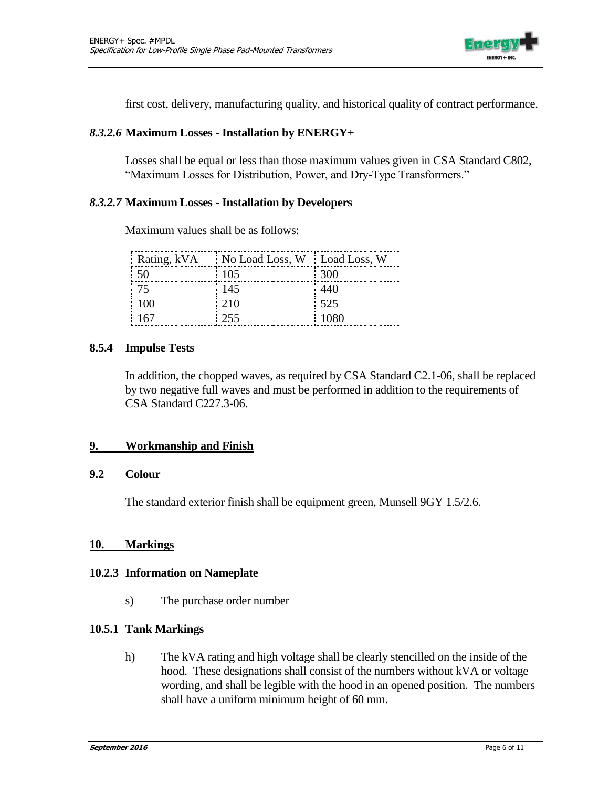

first cost, delivery, manufacturing quality, and historical quality of contract performance.

### *8.3.2.6* **Maximum Losses - Installation by ENERGY+**

Losses shall be equal or less than those maximum values given in CSA Standard C802, "Maximum Losses for Distribution, Power, and Dry-Type Transformers."

### *8.3.2.7* **Maximum Losses - Installation by Developers**

|     | Rating, kVA No Load Loss, W Load Loss, W |      |
|-----|------------------------------------------|------|
|     | 105                                      | -300 |
|     | -145                                     |      |
| 100 | 210                                      | -525 |
|     | 255                                      |      |

Maximum values shall be as follows:

### **8.5.4 Impulse Tests**

In addition, the chopped waves, as required by CSA Standard C2.1-06, shall be replaced by two negative full waves and must be performed in addition to the requirements of CSA Standard C227.3-06.

### **9. Workmanship and Finish**

### **9.2 Colour**

The standard exterior finish shall be equipment green, Munsell 9GY 1.5/2.6.

### **10. Markings**

#### **10.2.3 Information on Nameplate**

s) The purchase order number

### **10.5.1 Tank Markings**

h) The kVA rating and high voltage shall be clearly stencilled on the inside of the hood. These designations shall consist of the numbers without kVA or voltage wording, and shall be legible with the hood in an opened position. The numbers shall have a uniform minimum height of 60 mm.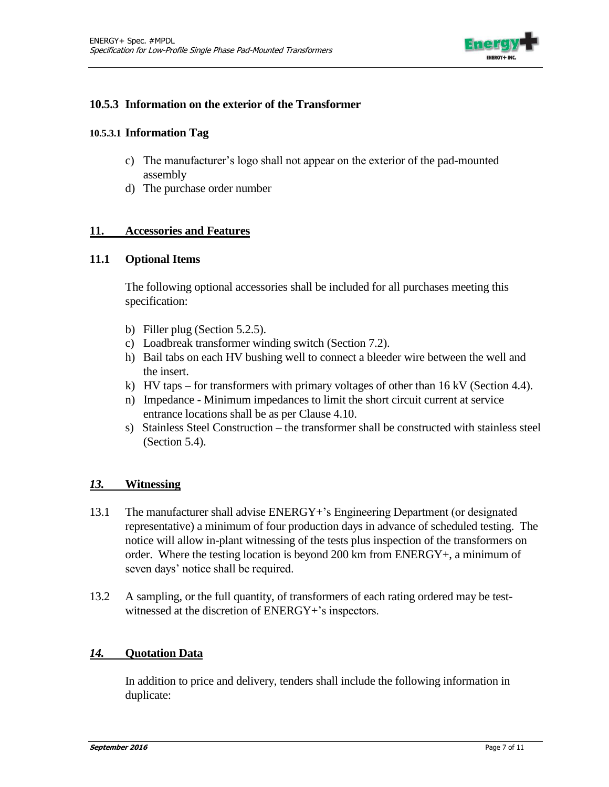

### **10.5.3 Information on the exterior of the Transformer**

#### **10.5.3.1 Information Tag**

- c) The manufacturer's logo shall not appear on the exterior of the pad-mounted assembly
- d) The purchase order number

### **11. Accessories and Features**

### **11.1 Optional Items**

The following optional accessories shall be included for all purchases meeting this specification:

- b) Filler plug (Section 5.2.5).
- c) Loadbreak transformer winding switch (Section 7.2).
- h) Bail tabs on each HV bushing well to connect a bleeder wire between the well and the insert.
- k) HV taps for transformers with primary voltages of other than 16 kV (Section 4.4).
- n) Impedance Minimum impedances to limit the short circuit current at service entrance locations shall be as per Clause 4.10.
- s) Stainless Steel Construction the transformer shall be constructed with stainless steel (Section 5.4).

### *13.* **Witnessing**

- 13.1 The manufacturer shall advise ENERGY+'s Engineering Department (or designated representative) a minimum of four production days in advance of scheduled testing. The notice will allow in-plant witnessing of the tests plus inspection of the transformers on order. Where the testing location is beyond 200 km from ENERGY+, a minimum of seven days' notice shall be required.
- 13.2 A sampling, or the full quantity, of transformers of each rating ordered may be testwitnessed at the discretion of ENERGY+'s inspectors.

### *14.* **Quotation Data**

In addition to price and delivery, tenders shall include the following information in duplicate: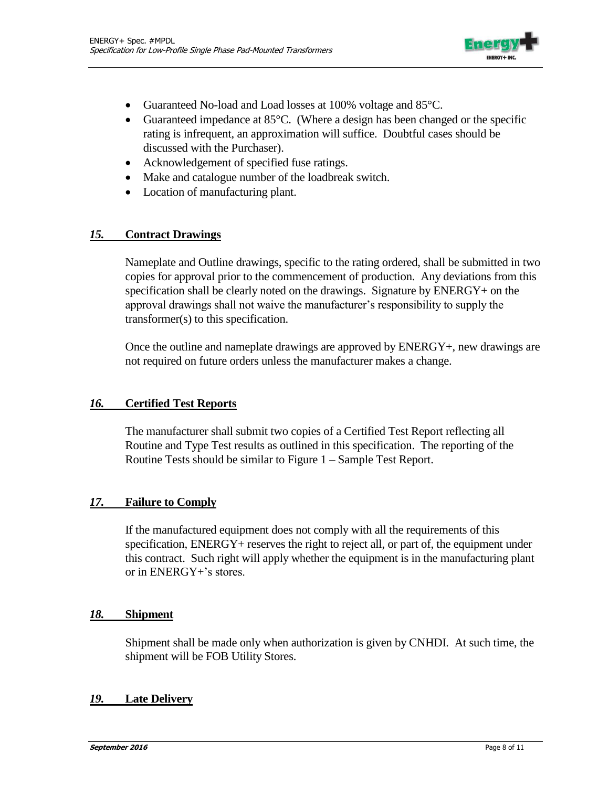

- Guaranteed No-load and Load losses at 100% voltage and 85°C.
- Guaranteed impedance at  $85^{\circ}$ C. (Where a design has been changed or the specific rating is infrequent, an approximation will suffice. Doubtful cases should be discussed with the Purchaser).
- Acknowledgement of specified fuse ratings.
- Make and catalogue number of the loadbreak switch.
- Location of manufacturing plant.

### *15.* **Contract Drawings**

Nameplate and Outline drawings, specific to the rating ordered, shall be submitted in two copies for approval prior to the commencement of production. Any deviations from this specification shall be clearly noted on the drawings. Signature by ENERGY+ on the approval drawings shall not waive the manufacturer's responsibility to supply the transformer(s) to this specification.

Once the outline and nameplate drawings are approved by ENERGY+, new drawings are not required on future orders unless the manufacturer makes a change.

# *16.* **Certified Test Reports**

The manufacturer shall submit two copies of a Certified Test Report reflecting all Routine and Type Test results as outlined in this specification. The reporting of the Routine Tests should be similar to Figure 1 – Sample Test Report.

# *17.* **Failure to Comply**

If the manufactured equipment does not comply with all the requirements of this specification, ENERGY+ reserves the right to reject all, or part of, the equipment under this contract. Such right will apply whether the equipment is in the manufacturing plant or in ENERGY+'s stores.

### *18.* **Shipment**

Shipment shall be made only when authorization is given by CNHDI. At such time, the shipment will be FOB Utility Stores.

### *19.* **Late Delivery**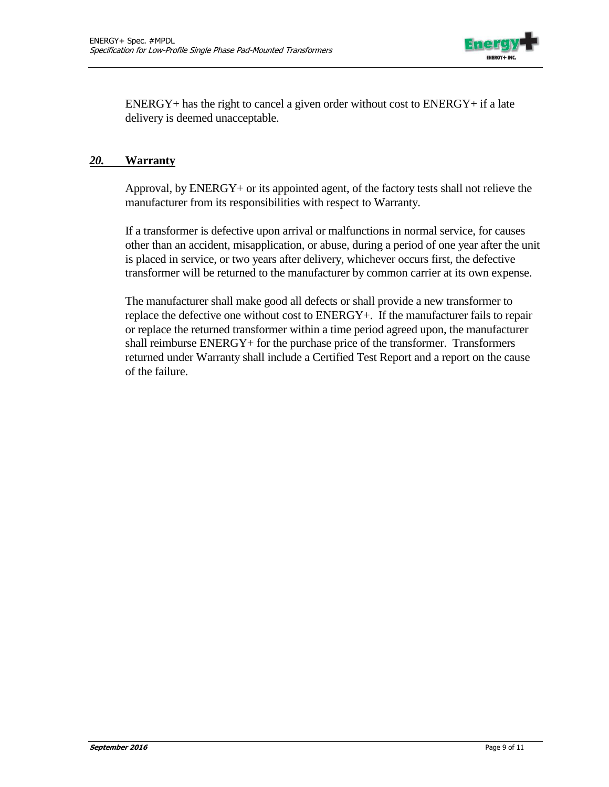

ENERGY+ has the right to cancel a given order without cost to ENERGY+ if a late delivery is deemed unacceptable.

### *20.* **Warranty**

Approval, by ENERGY+ or its appointed agent, of the factory tests shall not relieve the manufacturer from its responsibilities with respect to Warranty.

If a transformer is defective upon arrival or malfunctions in normal service, for causes other than an accident, misapplication, or abuse, during a period of one year after the unit is placed in service, or two years after delivery, whichever occurs first, the defective transformer will be returned to the manufacturer by common carrier at its own expense.

The manufacturer shall make good all defects or shall provide a new transformer to replace the defective one without cost to ENERGY+. If the manufacturer fails to repair or replace the returned transformer within a time period agreed upon, the manufacturer shall reimburse ENERGY+ for the purchase price of the transformer. Transformers returned under Warranty shall include a Certified Test Report and a report on the cause of the failure.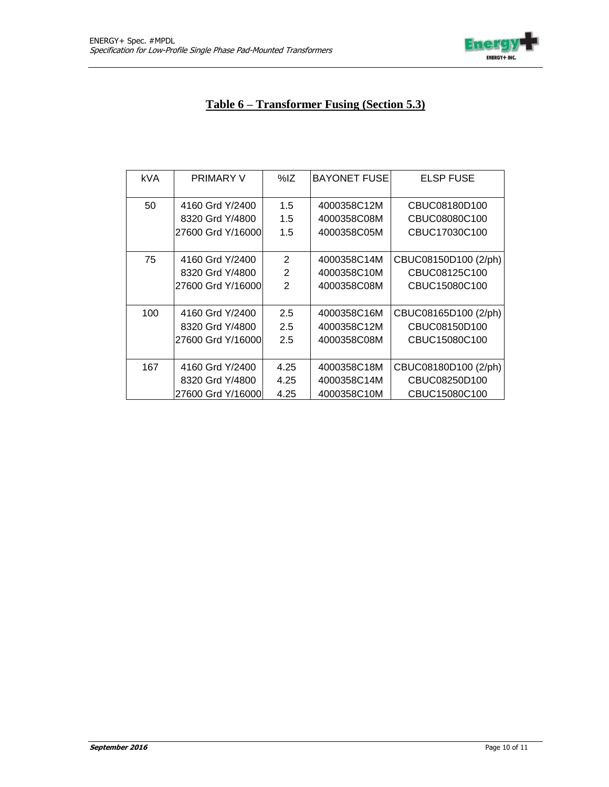

# **Table 6 – Transformer Fusing (Section 5.3)**

| kVA | <b>PRIMARY V</b>   | %IZ            | <b>BAYONET FUSE</b> | <b>ELSP FUSE</b>     |
|-----|--------------------|----------------|---------------------|----------------------|
| 50  | 4160 Grd Y/2400    | 1.5            | 4000358C12M         | CBUC08180D100        |
|     | 8320 Grd Y/4800    | 1.5            | 4000358C08M         | CBUC08080C100        |
|     | 27600 Grd Y/16000  | 1.5            | 4000358C05M         | CBUC17030C100        |
|     |                    |                |                     |                      |
| 75  | 4160 Grd Y/2400    | $\overline{2}$ | 4000358C14M         | CBUC08150D100 (2/ph) |
|     | 8320 Grd Y/4800    | $\mathbf{2}$   | 4000358C10M         | CBUC08125C100        |
|     | 27600 Grd Y/16000  | 2              | 4000358C08M         | CBUC15080C100        |
|     |                    |                |                     |                      |
| 100 | 4160 Grd Y/2400    | 2.5            | 4000358C16M         | CBUC08165D100 (2/ph) |
|     | 8320 Grd Y/4800    | 2.5            | 4000358C12M         | CBUC08150D100        |
|     | 27600 Grd Y/16000  | 2.5            | 4000358C08M         | CBUC15080C100        |
|     |                    |                |                     |                      |
| 167 | 4160 Grd Y/2400    | 4.25           | 4000358C18M         | CBUC08180D100 (2/ph) |
|     | 8320 Grd Y/4800    | 4.25           | 4000358C14M         | CBUC08250D100        |
|     | 27600 Grd Y/16000l | 4.25           | 4000358C10M         | CBUC15080C100        |